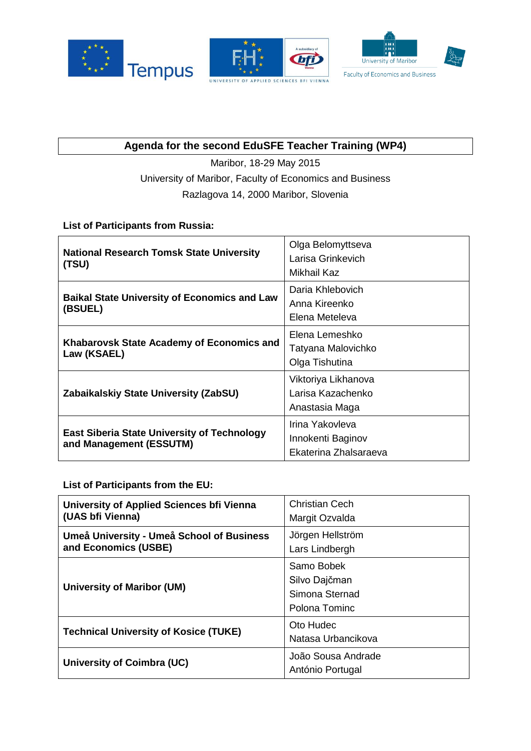

## **Agenda for the second EduSFE Teacher Training (WP4)**

Maribor, 18-29 May 2015 University of Maribor, Faculty of Economics and Business Razlagova 14, 2000 Maribor, Slovenia

## **List of Participants from Russia:**

| <b>National Research Tomsk State University</b><br>(TSU)                      | Olga Belomyttseva<br>Larisa Grinkevich<br>Mikhail Kaz         |
|-------------------------------------------------------------------------------|---------------------------------------------------------------|
| <b>Baikal State University of Economics and Law</b><br>(BSUEL)                | Daria Khlebovich<br>Anna Kireenko<br>Elena Meteleva           |
| Khabarovsk State Academy of Economics and<br>Law (KSAEL)                      | Elena Lemeshko<br>Tatyana Malovichko<br>Olga Tishutina        |
| Zabaikalskiy State University (ZabSU)                                         | Viktoriya Likhanova<br>Larisa Kazachenko<br>Anastasia Maga    |
| <b>East Siberia State University of Technology</b><br>and Management (ESSUTM) | Irina Yakovleva<br>Innokenti Baginov<br>Ekaterina Zhalsaraeva |

**List of Participants from the EU:** 

| University of Applied Sciences bfi Vienna<br>(UAS bfi Vienna)     | Christian Cech<br>Margit Ozvalda                               |
|-------------------------------------------------------------------|----------------------------------------------------------------|
| Umeå University - Umeå School of Business<br>and Economics (USBE) | Jörgen Hellström<br>Lars Lindbergh                             |
| <b>University of Maribor (UM)</b>                                 | Samo Bobek<br>Silvo Dajčman<br>Simona Sternad<br>Polona Tominc |
| <b>Technical University of Kosice (TUKE)</b>                      | Oto Hudec<br>Natasa Urbancikova                                |
| University of Coimbra (UC)                                        | João Sousa Andrade<br>António Portugal                         |